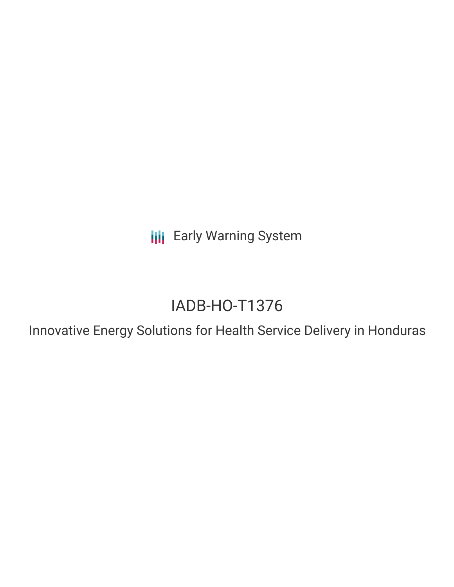**III** Early Warning System

# IADB-HO-T1376

Innovative Energy Solutions for Health Service Delivery in Honduras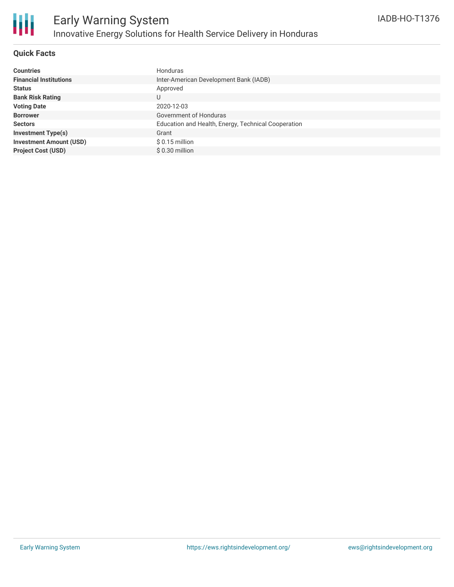

### **Quick Facts**

| <b>Countries</b>               | Honduras                                            |
|--------------------------------|-----------------------------------------------------|
| <b>Financial Institutions</b>  | Inter-American Development Bank (IADB)              |
| <b>Status</b>                  | Approved                                            |
| <b>Bank Risk Rating</b>        | U                                                   |
| <b>Voting Date</b>             | 2020-12-03                                          |
| <b>Borrower</b>                | Government of Honduras                              |
| <b>Sectors</b>                 | Education and Health, Energy, Technical Cooperation |
| <b>Investment Type(s)</b>      | Grant                                               |
| <b>Investment Amount (USD)</b> | $$0.15$ million                                     |
| <b>Project Cost (USD)</b>      | \$ 0.30 million                                     |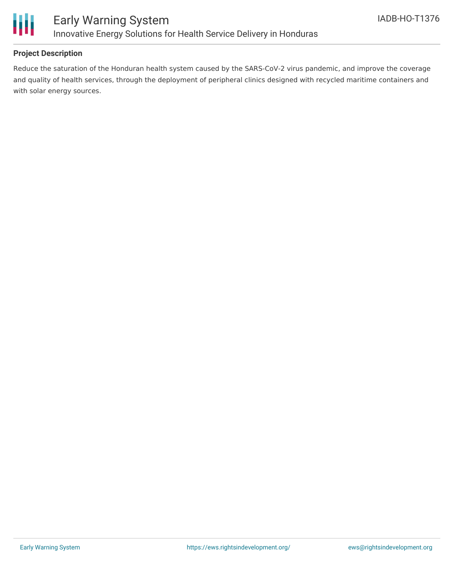

# **Project Description**

Reduce the saturation of the Honduran health system caused by the SARS-CoV-2 virus pandemic, and improve the coverage and quality of health services, through the deployment of peripheral clinics designed with recycled maritime containers and with solar energy sources.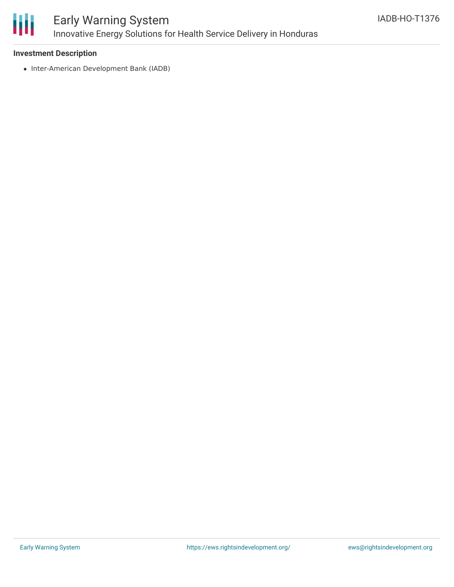

# Early Warning System Innovative Energy Solutions for Health Service Delivery in Honduras

### **Investment Description**

• Inter-American Development Bank (IADB)